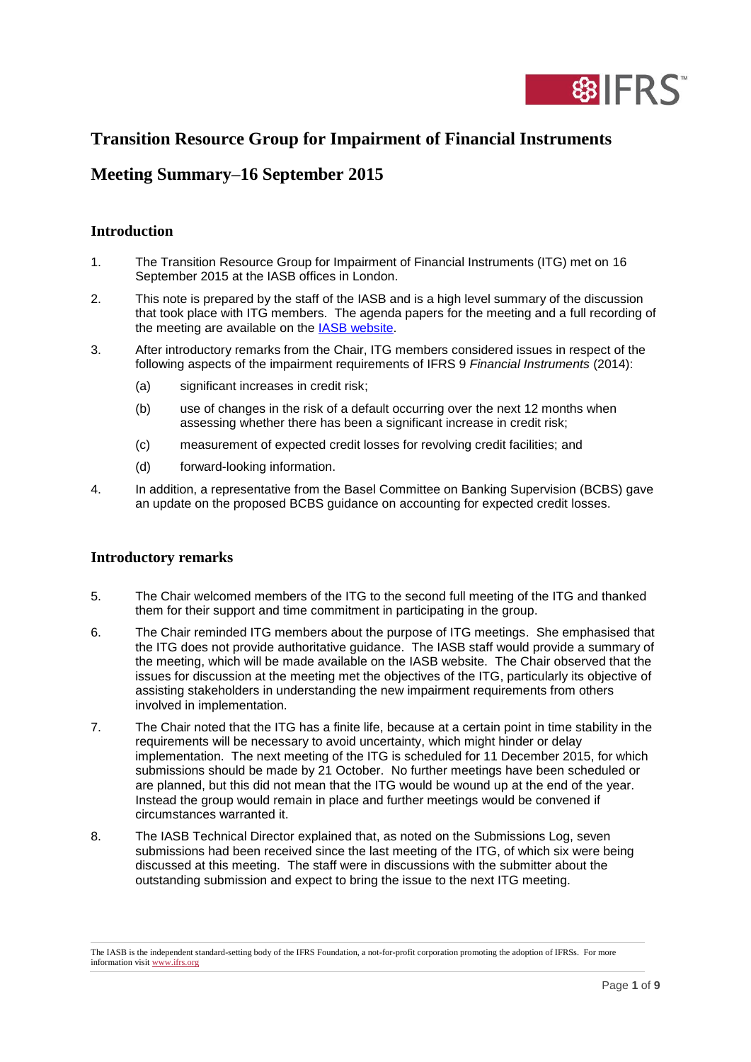

# **Transition Resource Group for Impairment of Financial Instruments**

## **Meeting Summary–16 September 2015**

### **Introduction**

- 1. The Transition Resource Group for Impairment of Financial Instruments (ITG) met on 16 September 2015 at the IASB offices in London.
- 2. This note is prepared by the staff of the IASB and is a high level summary of the discussion that took place with ITG members. The agenda papers for the meeting and a full recording of the meeting are available on the [IASB website.](http://www.ifrs.org/About-us/IASB/Advisory-bodies/ITG-Impairment-Financial-Instrument/Pages/home.aspx)
- 3. After introductory remarks from the Chair, ITG members considered issues in respect of the following aspects of the impairment requirements of IFRS 9 *Financial Instruments* (2014):
	- (a) significant increases in credit risk;
	- (b) use of changes in the risk of a default occurring over the next 12 months when assessing whether there has been a significant increase in credit risk;
	- (c) measurement of expected credit losses for revolving credit facilities; and
	- (d) forward-looking information.
- 4. In addition, a representative from the Basel Committee on Banking Supervision (BCBS) gave an update on the proposed BCBS guidance on accounting for expected credit losses.

### **Introductory remarks**

- 5. The Chair welcomed members of the ITG to the second full meeting of the ITG and thanked them for their support and time commitment in participating in the group.
- 6. The Chair reminded ITG members about the purpose of ITG meetings. She emphasised that the ITG does not provide authoritative guidance. The IASB staff would provide a summary of the meeting, which will be made available on the IASB website. The Chair observed that the issues for discussion at the meeting met the objectives of the ITG, particularly its objective of assisting stakeholders in understanding the new impairment requirements from others involved in implementation.
- 7. The Chair noted that the ITG has a finite life, because at a certain point in time stability in the requirements will be necessary to avoid uncertainty, which might hinder or delay implementation. The next meeting of the ITG is scheduled for 11 December 2015, for which submissions should be made by 21 October. No further meetings have been scheduled or are planned, but this did not mean that the ITG would be wound up at the end of the year. Instead the group would remain in place and further meetings would be convened if circumstances warranted it.
- 8. The IASB Technical Director explained that, as noted on the Submissions Log, seven submissions had been received since the last meeting of the ITG, of which six were being discussed at this meeting. The staff were in discussions with the submitter about the outstanding submission and expect to bring the issue to the next ITG meeting.

The IASB is the independent standard-setting body of the IFRS Foundation, a not-for-profit corporation promoting the adoption of IFRSs. For more information visi[t www.ifrs.org](http://www.ifrs.org/)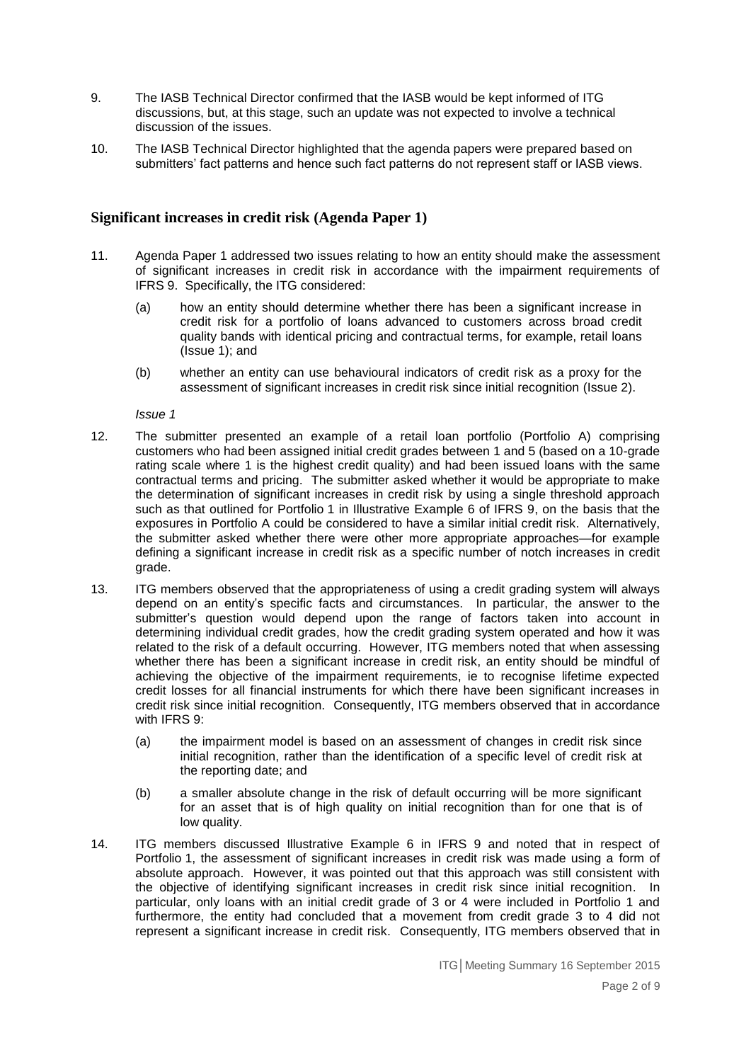- 9. The IASB Technical Director confirmed that the IASB would be kept informed of ITG discussions, but, at this stage, such an update was not expected to involve a technical discussion of the issues.
- 10. The IASB Technical Director highlighted that the agenda papers were prepared based on submitters' fact patterns and hence such fact patterns do not represent staff or IASB views.

#### **Significant increases in credit risk (Agenda Paper 1)**

- 11. Agenda Paper 1 addressed two issues relating to how an entity should make the assessment of significant increases in credit risk in accordance with the impairment requirements of IFRS 9. Specifically, the ITG considered:
	- (a) how an entity should determine whether there has been a significant increase in credit risk for a portfolio of loans advanced to customers across broad credit quality bands with identical pricing and contractual terms, for example, retail loans (Issue 1); and
	- (b) whether an entity can use behavioural indicators of credit risk as a proxy for the assessment of significant increases in credit risk since initial recognition (Issue 2).

*Issue 1*

- 12. The submitter presented an example of a retail loan portfolio (Portfolio A) comprising customers who had been assigned initial credit grades between 1 and 5 (based on a 10-grade rating scale where 1 is the highest credit quality) and had been issued loans with the same contractual terms and pricing. The submitter asked whether it would be appropriate to make the determination of significant increases in credit risk by using a single threshold approach such as that outlined for Portfolio 1 in Illustrative Example 6 of IFRS 9, on the basis that the exposures in Portfolio A could be considered to have a similar initial credit risk. Alternatively, the submitter asked whether there were other more appropriate approaches—for example defining a significant increase in credit risk as a specific number of notch increases in credit grade.
- 13. ITG members observed that the appropriateness of using a credit grading system will always depend on an entity's specific facts and circumstances. In particular, the answer to the submitter's question would depend upon the range of factors taken into account in determining individual credit grades, how the credit grading system operated and how it was related to the risk of a default occurring. However, ITG members noted that when assessing whether there has been a significant increase in credit risk, an entity should be mindful of achieving the objective of the impairment requirements, ie to recognise lifetime expected credit losses for all financial instruments for which there have been significant increases in credit risk since initial recognition. Consequently, ITG members observed that in accordance with IFRS 9:
	- (a) the impairment model is based on an assessment of changes in credit risk since initial recognition, rather than the identification of a specific level of credit risk at the reporting date; and
	- (b) a smaller absolute change in the risk of default occurring will be more significant for an asset that is of high quality on initial recognition than for one that is of low quality.
- 14. ITG members discussed Illustrative Example 6 in IFRS 9 and noted that in respect of Portfolio 1, the assessment of significant increases in credit risk was made using a form of absolute approach. However, it was pointed out that this approach was still consistent with the objective of identifying significant increases in credit risk since initial recognition. In particular, only loans with an initial credit grade of 3 or 4 were included in Portfolio 1 and furthermore, the entity had concluded that a movement from credit grade 3 to 4 did not represent a significant increase in credit risk. Consequently, ITG members observed that in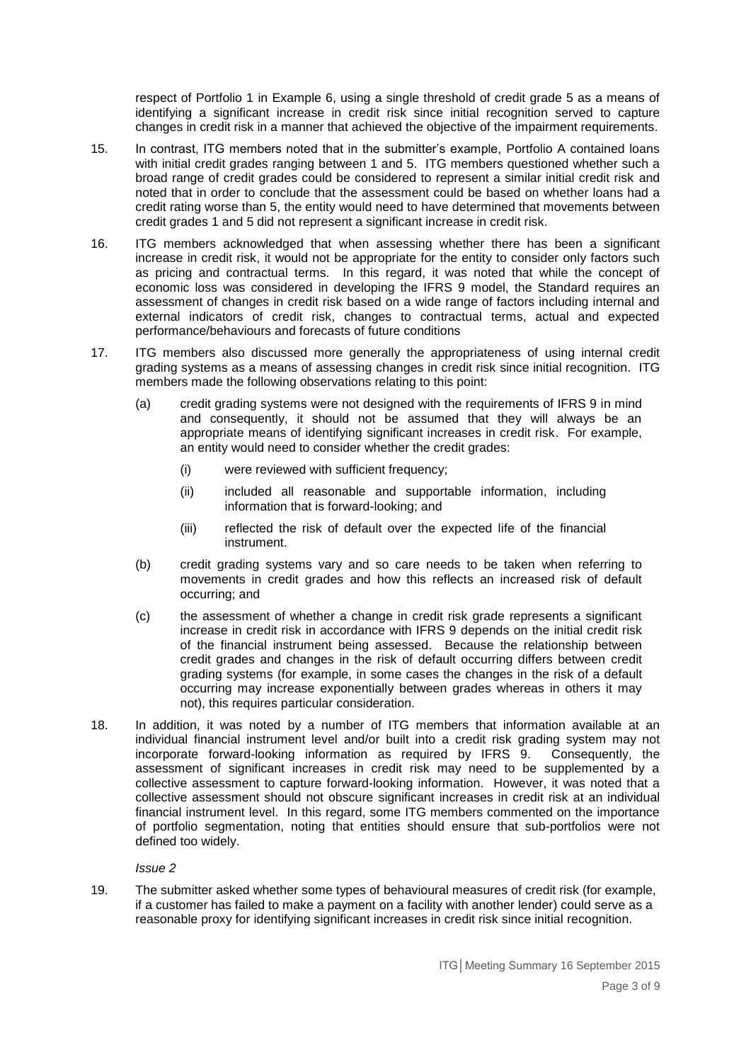respect of Portfolio 1 in Example 6, using a single threshold of credit grade 5 as a means of identifying a significant increase in credit risk since initial recognition served to capture changes in credit risk in a manner that achieved the objective of the impairment requirements.

- 15. In contrast, ITG members noted that in the submitter's example, Portfolio A contained loans with initial credit grades ranging between 1 and 5. ITG members questioned whether such a broad range of credit grades could be considered to represent a similar initial credit risk and noted that in order to conclude that the assessment could be based on whether loans had a credit rating worse than 5, the entity would need to have determined that movements between credit grades 1 and 5 did not represent a significant increase in credit risk.
- 16. ITG members acknowledged that when assessing whether there has been a significant increase in credit risk, it would not be appropriate for the entity to consider only factors such as pricing and contractual terms. In this regard, it was noted that while the concept of economic loss was considered in developing the IFRS 9 model, the Standard requires an assessment of changes in credit risk based on a wide range of factors including internal and external indicators of credit risk, changes to contractual terms, actual and expected performance/behaviours and forecasts of future conditions
- 17. ITG members also discussed more generally the appropriateness of using internal credit grading systems as a means of assessing changes in credit risk since initial recognition. ITG members made the following observations relating to this point:
	- (a) credit grading systems were not designed with the requirements of IFRS 9 in mind and consequently, it should not be assumed that they will always be an appropriate means of identifying significant increases in credit risk. For example, an entity would need to consider whether the credit grades:
		- (i) were reviewed with sufficient frequency;
		- (ii) included all reasonable and supportable information, including information that is forward-looking; and
		- (iii) reflected the risk of default over the expected life of the financial instrument.
	- (b) credit grading systems vary and so care needs to be taken when referring to movements in credit grades and how this reflects an increased risk of default occurring; and
	- (c) the assessment of whether a change in credit risk grade represents a significant increase in credit risk in accordance with IFRS 9 depends on the initial credit risk of the financial instrument being assessed. Because the relationship between credit grades and changes in the risk of default occurring differs between credit grading systems (for example, in some cases the changes in the risk of a default occurring may increase exponentially between grades whereas in others it may not), this requires particular consideration.
- 18. In addition, it was noted by a number of ITG members that information available at an individual financial instrument level and/or built into a credit risk grading system may not incorporate forward-looking information as required by IFRS 9. Consequently, the assessment of significant increases in credit risk may need to be supplemented by a collective assessment to capture forward-looking information. However, it was noted that a collective assessment should not obscure significant increases in credit risk at an individual financial instrument level. In this regard, some ITG members commented on the importance of portfolio segmentation, noting that entities should ensure that sub-portfolios were not defined too widely.

#### *Issue 2*

19. The submitter asked whether some types of behavioural measures of credit risk (for example, if a customer has failed to make a payment on a facility with another lender) could serve as a reasonable proxy for identifying significant increases in credit risk since initial recognition.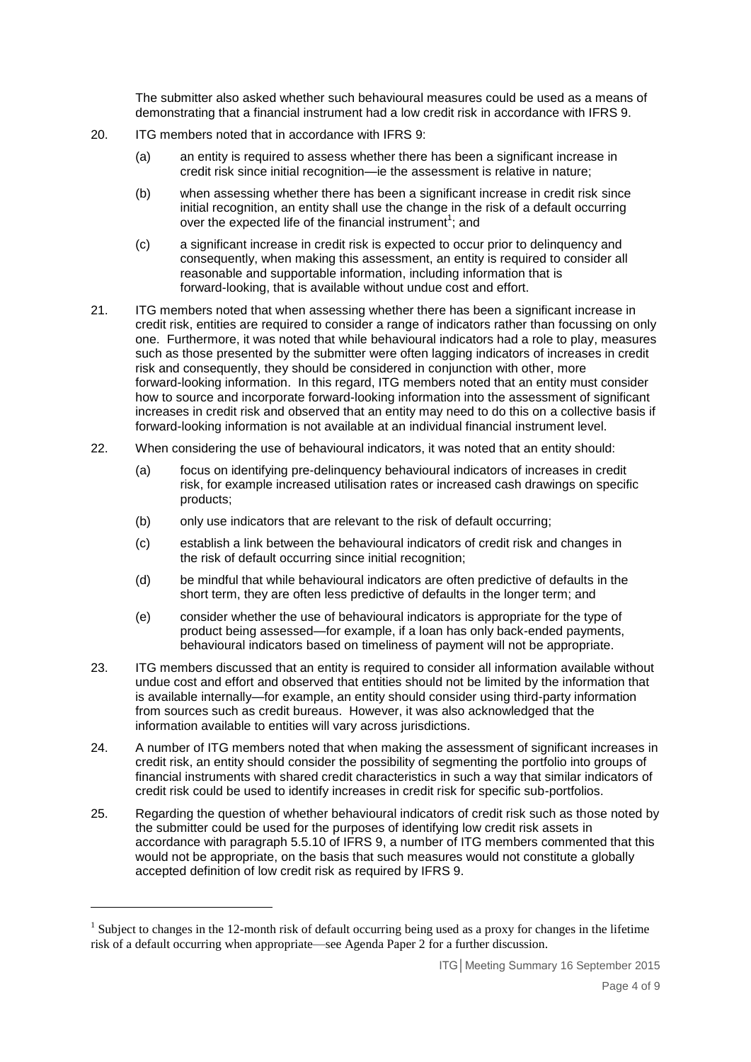The submitter also asked whether such behavioural measures could be used as a means of demonstrating that a financial instrument had a low credit risk in accordance with IFRS 9.

- 20. ITG members noted that in accordance with IFRS 9:
	- (a) an entity is required to assess whether there has been a significant increase in credit risk since initial recognition—ie the assessment is relative in nature;
	- (b) when assessing whether there has been a significant increase in credit risk since initial recognition, an entity shall use the change in the risk of a default occurring over the expected life of the financial instrument<sup>1</sup>; and
	- (c) a significant increase in credit risk is expected to occur prior to delinquency and consequently, when making this assessment, an entity is required to consider all reasonable and supportable information, including information that is forward-looking, that is available without undue cost and effort.
- 21. ITG members noted that when assessing whether there has been a significant increase in credit risk, entities are required to consider a range of indicators rather than focussing on only one. Furthermore, it was noted that while behavioural indicators had a role to play, measures such as those presented by the submitter were often lagging indicators of increases in credit risk and consequently, they should be considered in conjunction with other, more forward-looking information. In this regard, ITG members noted that an entity must consider how to source and incorporate forward-looking information into the assessment of significant increases in credit risk and observed that an entity may need to do this on a collective basis if forward-looking information is not available at an individual financial instrument level.
- 22. When considering the use of behavioural indicators, it was noted that an entity should:
	- (a) focus on identifying pre-delinquency behavioural indicators of increases in credit risk, for example increased utilisation rates or increased cash drawings on specific products;
	- (b) only use indicators that are relevant to the risk of default occurring;
	- (c) establish a link between the behavioural indicators of credit risk and changes in the risk of default occurring since initial recognition;
	- (d) be mindful that while behavioural indicators are often predictive of defaults in the short term, they are often less predictive of defaults in the longer term; and
	- (e) consider whether the use of behavioural indicators is appropriate for the type of product being assessed—for example, if a loan has only back-ended payments, behavioural indicators based on timeliness of payment will not be appropriate.
- 23. ITG members discussed that an entity is required to consider all information available without undue cost and effort and observed that entities should not be limited by the information that is available internally—for example, an entity should consider using third-party information from sources such as credit bureaus. However, it was also acknowledged that the information available to entities will vary across jurisdictions.
- 24. A number of ITG members noted that when making the assessment of significant increases in credit risk, an entity should consider the possibility of segmenting the portfolio into groups of financial instruments with shared credit characteristics in such a way that similar indicators of credit risk could be used to identify increases in credit risk for specific sub-portfolios.
- 25. Regarding the question of whether behavioural indicators of credit risk such as those noted by the submitter could be used for the purposes of identifying low credit risk assets in accordance with paragraph 5.5.10 of IFRS 9, a number of ITG members commented that this would not be appropriate, on the basis that such measures would not constitute a globally accepted definition of low credit risk as required by IFRS 9.

1

<sup>&</sup>lt;sup>1</sup> Subject to changes in the 12-month risk of default occurring being used as a proxy for changes in the lifetime risk of a default occurring when appropriate—see Agenda Paper 2 for a further discussion.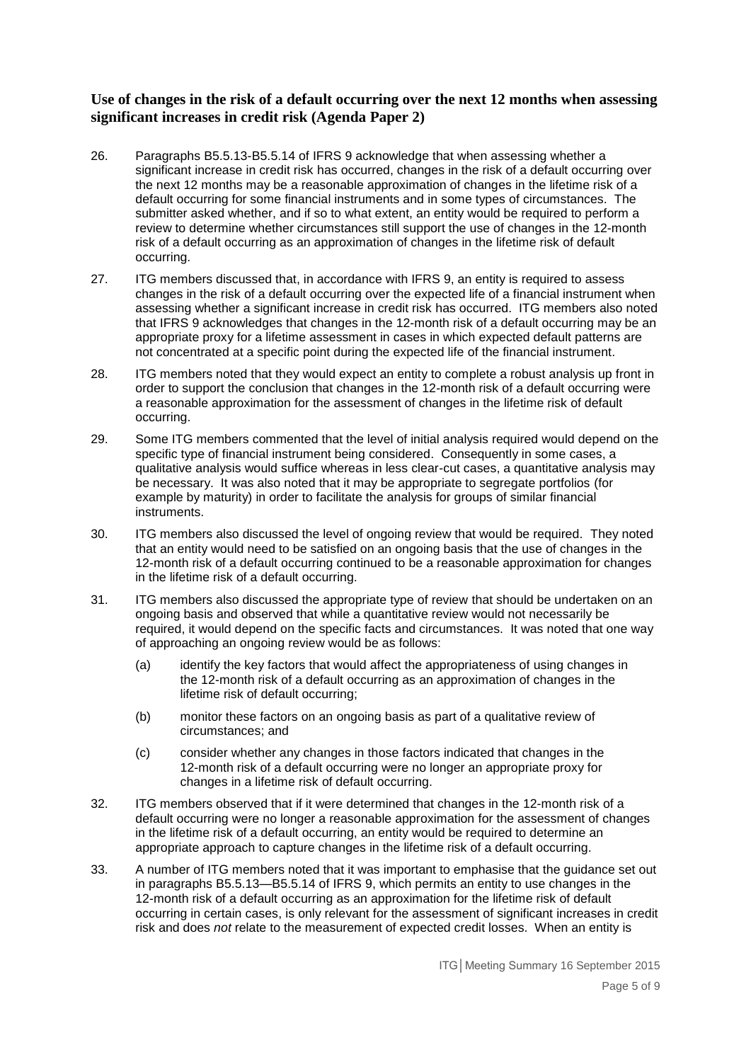#### **Use of changes in the risk of a default occurring over the next 12 months when assessing significant increases in credit risk (Agenda Paper 2)**

- 26. Paragraphs B5.5.13-B5.5.14 of IFRS 9 acknowledge that when assessing whether a significant increase in credit risk has occurred, changes in the risk of a default occurring over the next 12 months may be a reasonable approximation of changes in the lifetime risk of a default occurring for some financial instruments and in some types of circumstances. The submitter asked whether, and if so to what extent, an entity would be required to perform a review to determine whether circumstances still support the use of changes in the 12-month risk of a default occurring as an approximation of changes in the lifetime risk of default occurring.
- 27. ITG members discussed that, in accordance with IFRS 9, an entity is required to assess changes in the risk of a default occurring over the expected life of a financial instrument when assessing whether a significant increase in credit risk has occurred. ITG members also noted that IFRS 9 acknowledges that changes in the 12-month risk of a default occurring may be an appropriate proxy for a lifetime assessment in cases in which expected default patterns are not concentrated at a specific point during the expected life of the financial instrument.
- 28. ITG members noted that they would expect an entity to complete a robust analysis up front in order to support the conclusion that changes in the 12-month risk of a default occurring were a reasonable approximation for the assessment of changes in the lifetime risk of default occurring.
- 29. Some ITG members commented that the level of initial analysis required would depend on the specific type of financial instrument being considered. Consequently in some cases, a qualitative analysis would suffice whereas in less clear-cut cases, a quantitative analysis may be necessary. It was also noted that it may be appropriate to segregate portfolios (for example by maturity) in order to facilitate the analysis for groups of similar financial instruments.
- 30. ITG members also discussed the level of ongoing review that would be required. They noted that an entity would need to be satisfied on an ongoing basis that the use of changes in the 12-month risk of a default occurring continued to be a reasonable approximation for changes in the lifetime risk of a default occurring.
- 31. ITG members also discussed the appropriate type of review that should be undertaken on an ongoing basis and observed that while a quantitative review would not necessarily be required, it would depend on the specific facts and circumstances. It was noted that one way of approaching an ongoing review would be as follows:
	- (a) identify the key factors that would affect the appropriateness of using changes in the 12-month risk of a default occurring as an approximation of changes in the lifetime risk of default occurring;
	- (b) monitor these factors on an ongoing basis as part of a qualitative review of circumstances; and
	- (c) consider whether any changes in those factors indicated that changes in the 12-month risk of a default occurring were no longer an appropriate proxy for changes in a lifetime risk of default occurring.
- 32. ITG members observed that if it were determined that changes in the 12-month risk of a default occurring were no longer a reasonable approximation for the assessment of changes in the lifetime risk of a default occurring, an entity would be required to determine an appropriate approach to capture changes in the lifetime risk of a default occurring.
- 33. A number of ITG members noted that it was important to emphasise that the guidance set out in paragraphs B5.5.13—B5.5.14 of IFRS 9, which permits an entity to use changes in the 12-month risk of a default occurring as an approximation for the lifetime risk of default occurring in certain cases, is only relevant for the assessment of significant increases in credit risk and does *not* relate to the measurement of expected credit losses. When an entity is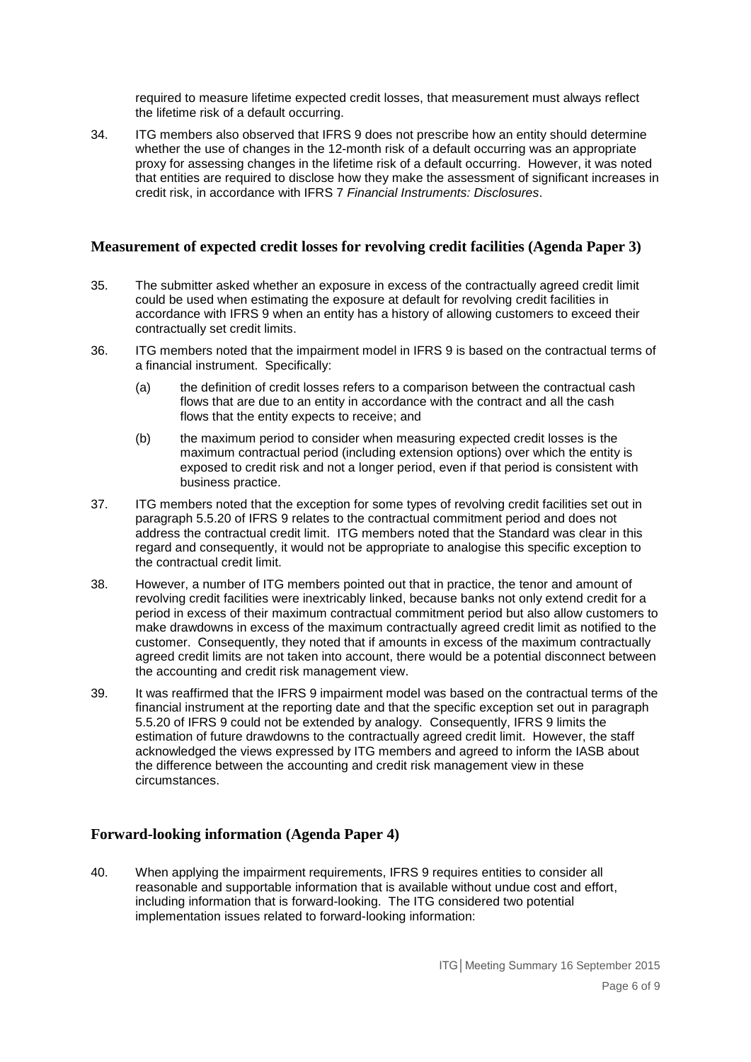required to measure lifetime expected credit losses, that measurement must always reflect the lifetime risk of a default occurring.

34. ITG members also observed that IFRS 9 does not prescribe how an entity should determine whether the use of changes in the 12-month risk of a default occurring was an appropriate proxy for assessing changes in the lifetime risk of a default occurring. However, it was noted that entities are required to disclose how they make the assessment of significant increases in credit risk, in accordance with IFRS 7 *Financial Instruments: Disclosures*.

#### **Measurement of expected credit losses for revolving credit facilities (Agenda Paper 3)**

- 35. The submitter asked whether an exposure in excess of the contractually agreed credit limit could be used when estimating the exposure at default for revolving credit facilities in accordance with IFRS 9 when an entity has a history of allowing customers to exceed their contractually set credit limits.
- 36. ITG members noted that the impairment model in IFRS 9 is based on the contractual terms of a financial instrument. Specifically:
	- (a) the definition of credit losses refers to a comparison between the contractual cash flows that are due to an entity in accordance with the contract and all the cash flows that the entity expects to receive; and
	- (b) the maximum period to consider when measuring expected credit losses is the maximum contractual period (including extension options) over which the entity is exposed to credit risk and not a longer period, even if that period is consistent with business practice.
- 37. ITG members noted that the exception for some types of revolving credit facilities set out in paragraph 5.5.20 of IFRS 9 relates to the contractual commitment period and does not address the contractual credit limit. ITG members noted that the Standard was clear in this regard and consequently, it would not be appropriate to analogise this specific exception to the contractual credit limit.
- 38. However, a number of ITG members pointed out that in practice, the tenor and amount of revolving credit facilities were inextricably linked, because banks not only extend credit for a period in excess of their maximum contractual commitment period but also allow customers to make drawdowns in excess of the maximum contractually agreed credit limit as notified to the customer. Consequently, they noted that if amounts in excess of the maximum contractually agreed credit limits are not taken into account, there would be a potential disconnect between the accounting and credit risk management view.
- 39. It was reaffirmed that the IFRS 9 impairment model was based on the contractual terms of the financial instrument at the reporting date and that the specific exception set out in paragraph 5.5.20 of IFRS 9 could not be extended by analogy. Consequently, IFRS 9 limits the estimation of future drawdowns to the contractually agreed credit limit. However, the staff acknowledged the views expressed by ITG members and agreed to inform the IASB about the difference between the accounting and credit risk management view in these circumstances.

### **Forward-looking information (Agenda Paper 4)**

40. When applying the impairment requirements, IFRS 9 requires entities to consider all reasonable and supportable information that is available without undue cost and effort, including information that is forward-looking. The ITG considered two potential implementation issues related to forward-looking information: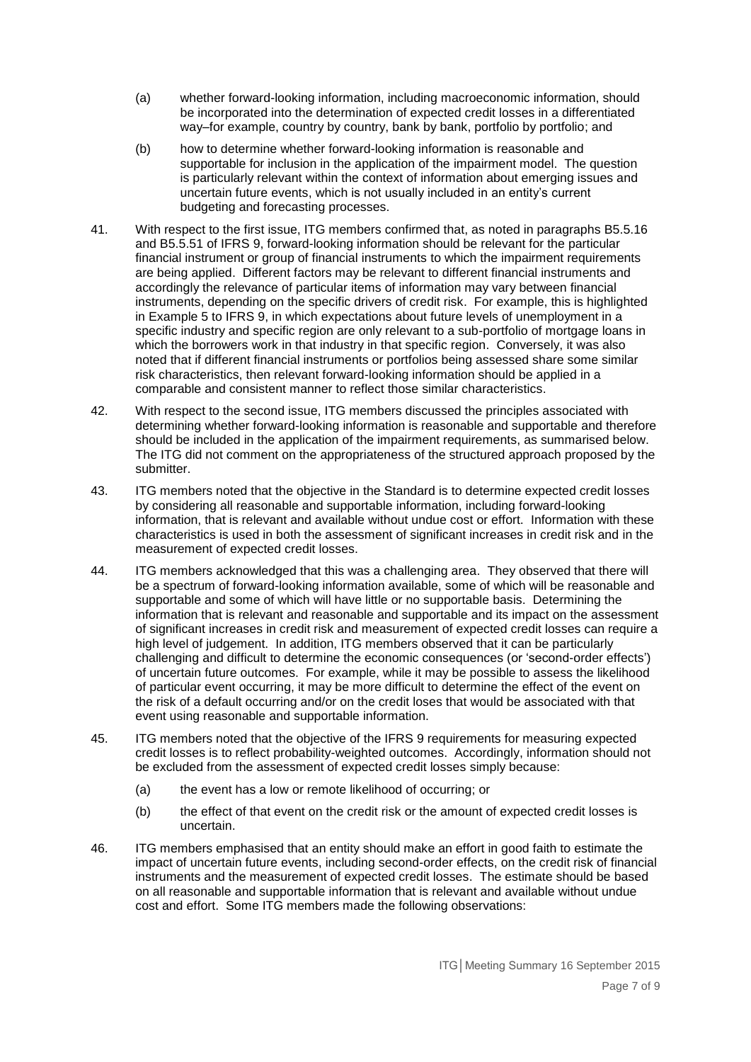- (a) whether forward-looking information, including macroeconomic information, should be incorporated into the determination of expected credit losses in a differentiated way–for example, country by country, bank by bank, portfolio by portfolio; and
- (b) how to determine whether forward-looking information is reasonable and supportable for inclusion in the application of the impairment model. The question is particularly relevant within the context of information about emerging issues and uncertain future events, which is not usually included in an entity's current budgeting and forecasting processes.
- 41. With respect to the first issue, ITG members confirmed that, as noted in paragraphs B5.5.16 and B5.5.51 of IFRS 9, forward-looking information should be relevant for the particular financial instrument or group of financial instruments to which the impairment requirements are being applied. Different factors may be relevant to different financial instruments and accordingly the relevance of particular items of information may vary between financial instruments, depending on the specific drivers of credit risk. For example, this is highlighted in Example 5 to IFRS 9, in which expectations about future levels of unemployment in a specific industry and specific region are only relevant to a sub-portfolio of mortgage loans in which the borrowers work in that industry in that specific region. Conversely, it was also noted that if different financial instruments or portfolios being assessed share some similar risk characteristics, then relevant forward-looking information should be applied in a comparable and consistent manner to reflect those similar characteristics.
- 42. With respect to the second issue, ITG members discussed the principles associated with determining whether forward-looking information is reasonable and supportable and therefore should be included in the application of the impairment requirements, as summarised below. The ITG did not comment on the appropriateness of the structured approach proposed by the submitter.
- 43. ITG members noted that the objective in the Standard is to determine expected credit losses by considering all reasonable and supportable information, including forward-looking information, that is relevant and available without undue cost or effort. Information with these characteristics is used in both the assessment of significant increases in credit risk and in the measurement of expected credit losses.
- 44. ITG members acknowledged that this was a challenging area. They observed that there will be a spectrum of forward-looking information available, some of which will be reasonable and supportable and some of which will have little or no supportable basis. Determining the information that is relevant and reasonable and supportable and its impact on the assessment of significant increases in credit risk and measurement of expected credit losses can require a high level of judgement. In addition, ITG members observed that it can be particularly challenging and difficult to determine the economic consequences (or 'second-order effects') of uncertain future outcomes. For example, while it may be possible to assess the likelihood of particular event occurring, it may be more difficult to determine the effect of the event on the risk of a default occurring and/or on the credit loses that would be associated with that event using reasonable and supportable information.
- 45. ITG members noted that the objective of the IFRS 9 requirements for measuring expected credit losses is to reflect probability-weighted outcomes. Accordingly, information should not be excluded from the assessment of expected credit losses simply because:
	- (a) the event has a low or remote likelihood of occurring; or
	- (b) the effect of that event on the credit risk or the amount of expected credit losses is uncertain.
- 46. ITG members emphasised that an entity should make an effort in good faith to estimate the impact of uncertain future events, including second-order effects, on the credit risk of financial instruments and the measurement of expected credit losses. The estimate should be based on all reasonable and supportable information that is relevant and available without undue cost and effort. Some ITG members made the following observations: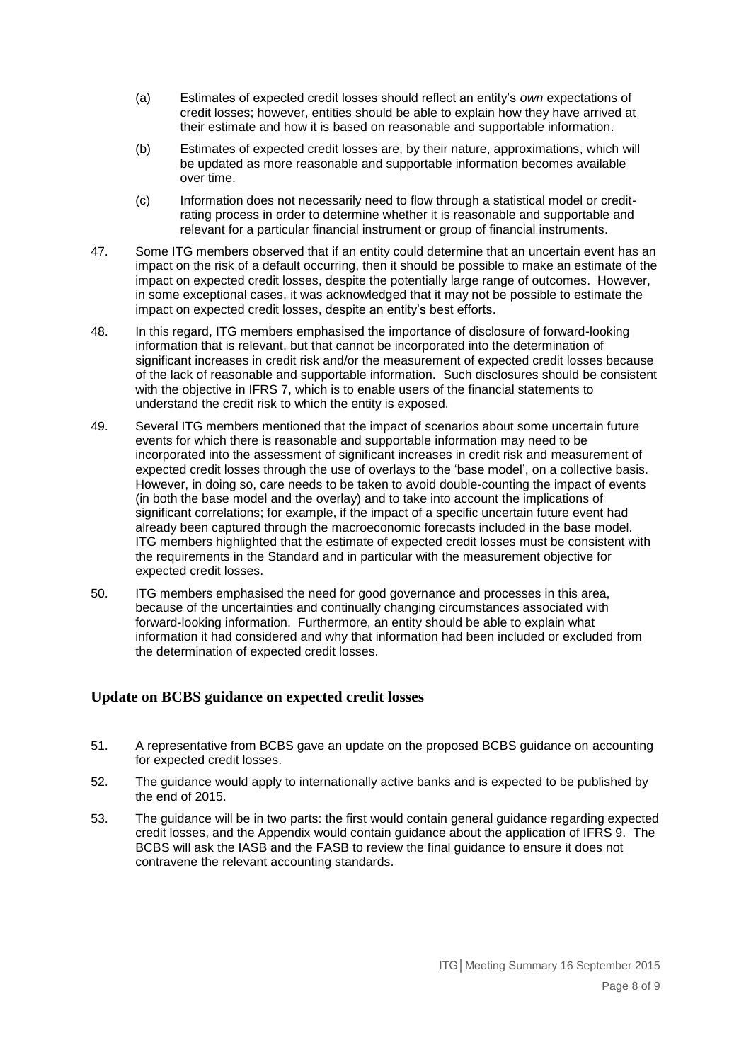- (a) Estimates of expected credit losses should reflect an entity's *own* expectations of credit losses; however, entities should be able to explain how they have arrived at their estimate and how it is based on reasonable and supportable information.
- (b) Estimates of expected credit losses are, by their nature, approximations, which will be updated as more reasonable and supportable information becomes available over time.
- (c) Information does not necessarily need to flow through a statistical model or creditrating process in order to determine whether it is reasonable and supportable and relevant for a particular financial instrument or group of financial instruments.
- 47. Some ITG members observed that if an entity could determine that an uncertain event has an impact on the risk of a default occurring, then it should be possible to make an estimate of the impact on expected credit losses, despite the potentially large range of outcomes. However, in some exceptional cases, it was acknowledged that it may not be possible to estimate the impact on expected credit losses, despite an entity's best efforts.
- 48. In this regard, ITG members emphasised the importance of disclosure of forward-looking information that is relevant, but that cannot be incorporated into the determination of significant increases in credit risk and/or the measurement of expected credit losses because of the lack of reasonable and supportable information. Such disclosures should be consistent with the objective in IFRS 7, which is to enable users of the financial statements to understand the credit risk to which the entity is exposed.
- 49. Several ITG members mentioned that the impact of scenarios about some uncertain future events for which there is reasonable and supportable information may need to be incorporated into the assessment of significant increases in credit risk and measurement of expected credit losses through the use of overlays to the 'base model', on a collective basis. However, in doing so, care needs to be taken to avoid double-counting the impact of events (in both the base model and the overlay) and to take into account the implications of significant correlations; for example, if the impact of a specific uncertain future event had already been captured through the macroeconomic forecasts included in the base model. ITG members highlighted that the estimate of expected credit losses must be consistent with the requirements in the Standard and in particular with the measurement objective for expected credit losses.
- 50. ITG members emphasised the need for good governance and processes in this area, because of the uncertainties and continually changing circumstances associated with forward-looking information. Furthermore, an entity should be able to explain what information it had considered and why that information had been included or excluded from the determination of expected credit losses.

### **Update on BCBS guidance on expected credit losses**

- 51. A representative from BCBS gave an update on the proposed BCBS guidance on accounting for expected credit losses.
- 52. The guidance would apply to internationally active banks and is expected to be published by the end of 2015.
- 53. The guidance will be in two parts: the first would contain general guidance regarding expected credit losses, and the Appendix would contain guidance about the application of IFRS 9. The BCBS will ask the IASB and the FASB to review the final guidance to ensure it does not contravene the relevant accounting standards.